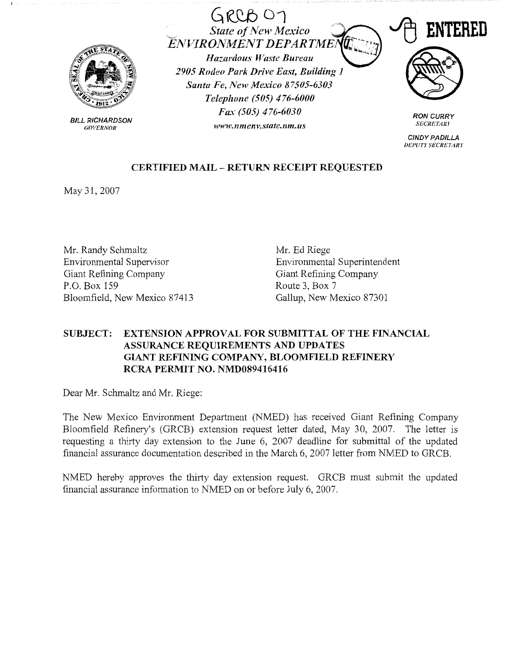

BILL RICHARDSON *GOVERNOR* 

GtcQb 01 . . *State of New Mexico EJVVIRONMENT DEPARTME Hazardous Waste Bureau 2905 Rodeo Park Drive East, Building 1 Santa Fe, New Mexico 87505-6303 Telephone (505) 476-6000 Fax (505) 476-6030* 

*wwtt•.nme11v.state.nm. us* 



**RON CURRY**  *SECRETARY* 

**CINDY PADILLA DEPUTY SECRETARY** 

## **CERTIFIED MAIL** - **RETURN RECEIPT REQUESTED**

May 31, 2007

Mr. Randy Schmaltz Environmental Supervisor Giant Refining Company P.O. Box 159 Bloomfield, New Mexico 87413

Mr. Ed Riege Environmental Superintendent Giant Refining Company Route 3, Box 7 Gallup, New Mexico 87301

## **SUBJECT: EXTENSION APPROVAL FOR SUBMITTAL OF THE FINANCIAL ASSURANCE REQUIREMENTS AND UPDATES GIANT REFINING COMPANY, BLOOMFIELD REFINERY RCRA PERMIT NO. NMD089416416**

Dear Mr. Schmaltz and Mr. Riege:

The New Mexico Environment Department (NMED) has received Giant Refining Company Bloomfield Refinery's (GRCB) extension request letter dated, May 30, 2007. The letter is requesting a thirty day extension to the June 6, 2007 deadline for submittal of the updated financial assurance documentation described in the March 6, 2007 letter from NMED to GRCB.

NMED hereby approves the thirty day extension request. GRCB must submit the updated financial assurance infonnation to NMED on or before July 6, 2007.